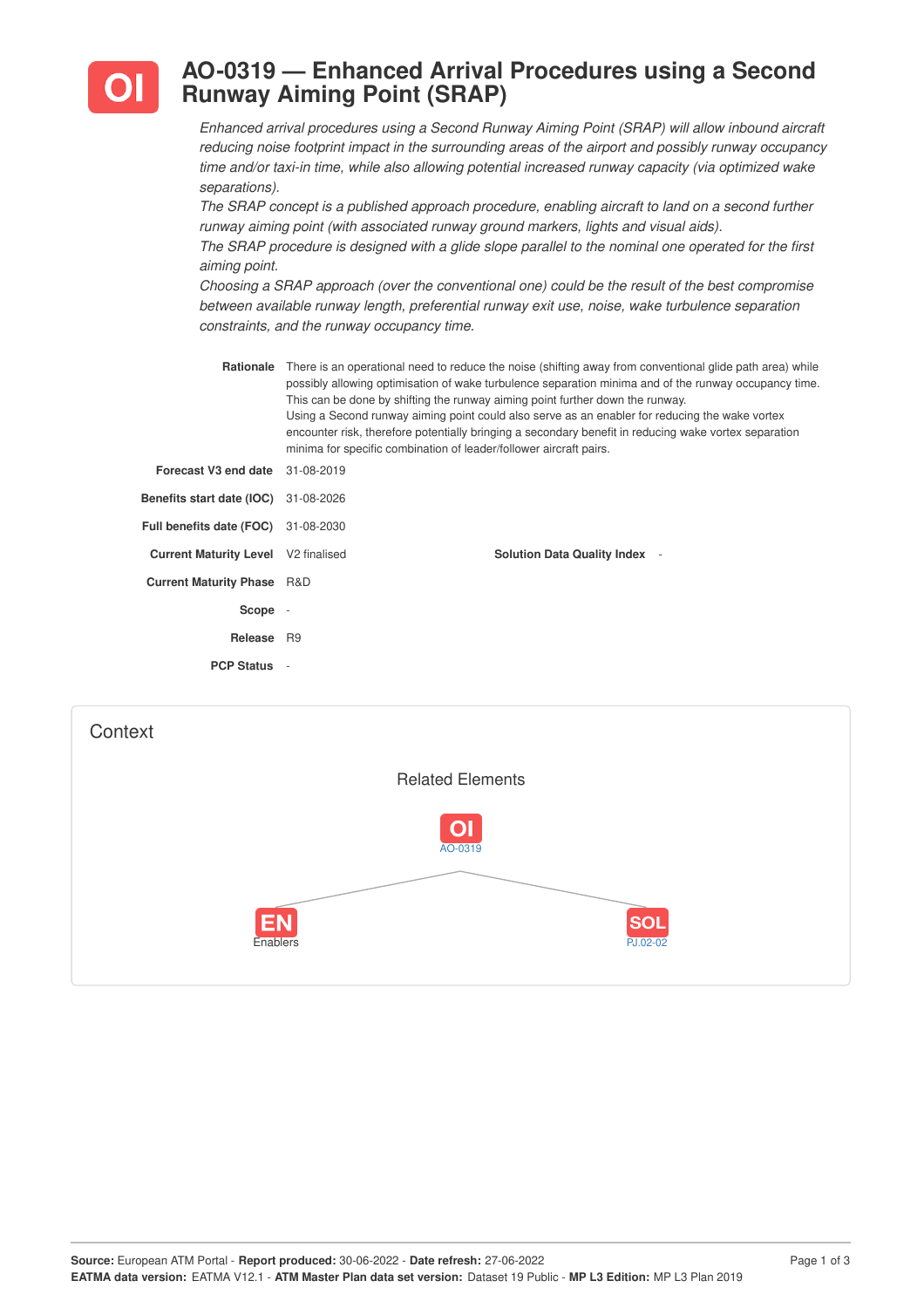

## **AO-0319 — Enhanced Arrival Procedures using a Second Runway Aiming Point (SRAP)**

*Enhanced arrival procedures using a Second Runway Aiming Point (SRAP) will allow inbound aircraft reducing noise footprint impact in the surrounding areas of the airport and possibly runway occupancy time and/or taxi-in time, while also allowing potential increased runway capacity (via optimized wake separations).*

*The SRAP concept is a published approach procedure, enabling aircraft to land on a second further runway aiming point (with associated runway ground markers, lights and visual aids).*

The SRAP procedure is designed with a glide slope parallel to the nominal one operated for the first *aiming point.*

*Choosing a SRAP approach (over the conventional one) could be the result of the best compromise between available runway length, preferential runway exit use, noise, wake turbulence separation constraints, and the runway occupancy time.*

| Rationale                                  |            | There is an operational need to reduce the noise (shifting away from conventional glide path area) while<br>possibly allowing optimisation of wake turbulence separation minima and of the runway occupancy time.<br>This can be done by shifting the runway aiming point further down the runway.<br>Using a Second runway aiming point could also serve as an enabler for reducing the wake vortex<br>encounter risk, therefore potentially bringing a secondary benefit in reducing wake vortex separation<br>minima for specific combination of leader/follower aircraft pairs. |  |  |  |  |  |  |
|--------------------------------------------|------------|-------------------------------------------------------------------------------------------------------------------------------------------------------------------------------------------------------------------------------------------------------------------------------------------------------------------------------------------------------------------------------------------------------------------------------------------------------------------------------------------------------------------------------------------------------------------------------------|--|--|--|--|--|--|
| Forecast V3 end date 31-08-2019            |            |                                                                                                                                                                                                                                                                                                                                                                                                                                                                                                                                                                                     |  |  |  |  |  |  |
| Benefits start date (IOC)                  | 31-08-2026 |                                                                                                                                                                                                                                                                                                                                                                                                                                                                                                                                                                                     |  |  |  |  |  |  |
| Full benefits date (FOC)                   | 31-08-2030 |                                                                                                                                                                                                                                                                                                                                                                                                                                                                                                                                                                                     |  |  |  |  |  |  |
| <b>Current Maturity Level</b> V2 finalised |            | <b>Solution Data Quality Index -</b>                                                                                                                                                                                                                                                                                                                                                                                                                                                                                                                                                |  |  |  |  |  |  |
| <b>Current Maturity Phase R&amp;D</b>      |            |                                                                                                                                                                                                                                                                                                                                                                                                                                                                                                                                                                                     |  |  |  |  |  |  |
| Scope -                                    |            |                                                                                                                                                                                                                                                                                                                                                                                                                                                                                                                                                                                     |  |  |  |  |  |  |
| Release R9                                 |            |                                                                                                                                                                                                                                                                                                                                                                                                                                                                                                                                                                                     |  |  |  |  |  |  |
| <b>PCP Status</b>                          |            |                                                                                                                                                                                                                                                                                                                                                                                                                                                                                                                                                                                     |  |  |  |  |  |  |

| Context                   |                        |
|---------------------------|------------------------|
| <b>Related Elements</b>   |                        |
| O <sub>1</sub><br>AO-0319 |                        |
| <b>EN</b><br>Enablers     | <b>SOL</b><br>PJ.02-02 |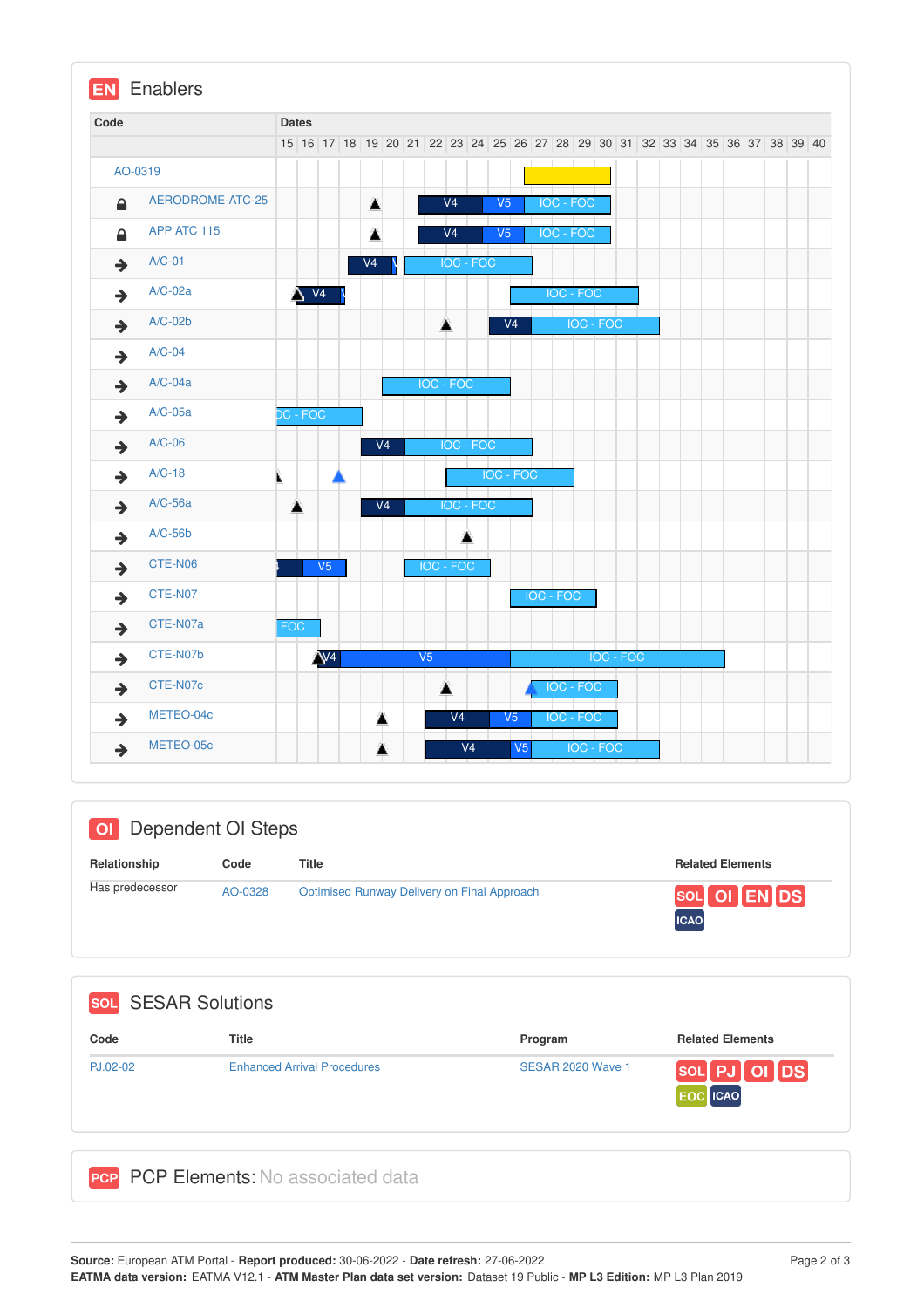| Code          |                  |            | <b>Dates</b>   |                |  |                |                |  |                |                  |                |                  |                |  |           |                                                                               |  |                  |  |  |  |  |  |
|---------------|------------------|------------|----------------|----------------|--|----------------|----------------|--|----------------|------------------|----------------|------------------|----------------|--|-----------|-------------------------------------------------------------------------------|--|------------------|--|--|--|--|--|
|               |                  |            |                |                |  |                |                |  |                |                  |                |                  |                |  |           | 15 16 17 18 19 20 21 22 23 24 25 26 27 28 29 30 31 32 33 34 35 36 37 38 39 40 |  |                  |  |  |  |  |  |
| AO-0319       |                  |            |                |                |  |                |                |  |                |                  |                |                  |                |  |           |                                                                               |  |                  |  |  |  |  |  |
| $\triangle$   | AERODROME-ATC-25 |            |                |                |  | А              |                |  |                | V <sub>4</sub>   |                | V <sub>5</sub>   |                |  |           | <b>IOC - FOC</b>                                                              |  |                  |  |  |  |  |  |
| $\mathbf{r}$  | APP ATC 115      |            |                |                |  | ж              |                |  |                | V <sub>4</sub>   |                | V <sub>5</sub>   |                |  |           | <b>IOC - FOC</b>                                                              |  |                  |  |  |  |  |  |
| $\rightarrow$ | $A/C-01$         |            |                |                |  | V <sub>4</sub> |                |  |                | <b>IOC - FOC</b> |                |                  |                |  |           |                                                                               |  |                  |  |  |  |  |  |
| $\rightarrow$ | $A/C-02a$        |            | $\bigwedge$ V4 |                |  |                |                |  |                |                  |                |                  |                |  |           | <b>IOC - FOC</b>                                                              |  |                  |  |  |  |  |  |
| $\rightarrow$ | $A/C-02b$        |            |                |                |  |                |                |  |                | Δ                |                | V <sub>4</sub>   |                |  |           | <b>IOC - FOC</b>                                                              |  |                  |  |  |  |  |  |
| $\rightarrow$ | $A/C-04$         |            |                |                |  |                |                |  |                |                  |                |                  |                |  |           |                                                                               |  |                  |  |  |  |  |  |
| $\rightarrow$ | $A/C-04a$        |            |                |                |  |                |                |  |                | <b>IOC - FOC</b> |                |                  |                |  |           |                                                                               |  |                  |  |  |  |  |  |
| $\rightarrow$ | $A/C-05a$        | DC - FOC   |                |                |  |                |                |  |                |                  |                |                  |                |  |           |                                                                               |  |                  |  |  |  |  |  |
| $\rightarrow$ | $A/C-06$         |            |                |                |  |                | V <sub>4</sub> |  |                | <b>IOC - FOC</b> |                |                  |                |  |           |                                                                               |  |                  |  |  |  |  |  |
| $\rightarrow$ | $A/C-18$         | r.         |                |                |  |                |                |  |                |                  |                | <b>IOC - FOC</b> |                |  |           |                                                                               |  |                  |  |  |  |  |  |
| $\rightarrow$ | $A/C-56a$        |            | 盒              |                |  |                | V <sub>4</sub> |  |                | <b>IOC - FOC</b> |                |                  |                |  |           |                                                                               |  |                  |  |  |  |  |  |
| $\rightarrow$ | $A/C-56b$        |            |                |                |  |                |                |  |                | ж                |                |                  |                |  |           |                                                                               |  |                  |  |  |  |  |  |
| $\rightarrow$ | CTE-N06          |            |                | V <sub>5</sub> |  |                |                |  |                | <b>IOC - FOC</b> |                |                  |                |  |           |                                                                               |  |                  |  |  |  |  |  |
| $\rightarrow$ | CTE-N07          |            |                |                |  |                |                |  |                |                  |                |                  |                |  | IOC - FOC |                                                                               |  |                  |  |  |  |  |  |
| $\rightarrow$ | CTE-N07a         | <b>FOC</b> |                |                |  |                |                |  |                |                  |                |                  |                |  |           |                                                                               |  |                  |  |  |  |  |  |
| $\rightarrow$ | CTE-N07b         |            |                | $\sqrt{4}$     |  |                |                |  | V <sub>5</sub> |                  |                |                  |                |  |           |                                                                               |  | <b>IOC - FOC</b> |  |  |  |  |  |
| $\rightarrow$ | CTE-N07c         |            |                |                |  |                |                |  |                | А                |                |                  |                |  |           | IOC - FOC                                                                     |  |                  |  |  |  |  |  |
| $\rightarrow$ | METEO-04c        |            |                |                |  |                | л.             |  |                | V <sub>4</sub>   |                | V <sub>5</sub>   |                |  |           | <b>IOC - FOC</b>                                                              |  |                  |  |  |  |  |  |
| $\rightarrow$ | METEO-05c        |            |                |                |  |                |                |  |                |                  | V <sub>4</sub> |                  | V <sub>5</sub> |  |           | IOC - FOC                                                                     |  |                  |  |  |  |  |  |

| Dependent OI Steps<br>O <sub>1</sub> |                        |                                                    |                                                                         |  |  |  |  |  |
|--------------------------------------|------------------------|----------------------------------------------------|-------------------------------------------------------------------------|--|--|--|--|--|
| Relationship                         | Code                   | <b>Title</b>                                       | <b>Related Elements</b>                                                 |  |  |  |  |  |
| Has predecessor                      | AO-0328                | <b>Optimised Runway Delivery on Final Approach</b> | $\left[\text{sol}\right]$ OI $\left[\text{EN}\right]$ DS<br><b>ICAO</b> |  |  |  |  |  |
| <b>SOL</b>                           | <b>SESAR Solutions</b> |                                                    |                                                                         |  |  |  |  |  |

| Code     | <b>Title</b>                       | Program                  | <b>Related Elements</b>         |
|----------|------------------------------------|--------------------------|---------------------------------|
| PJ.02-02 | <b>Enhanced Arrival Procedures</b> | <b>SESAR 2020 Wave 1</b> | SOL PJ OI DS<br><b>EOC ICAO</b> |

PCP PCP Elements: No associated data